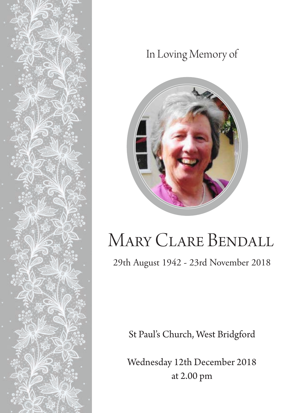

## In Loving Memory of



# Mary Clare Bendall

29th August 1942 - 23rd November 2018

St Paul's Church, West Bridgford

Wednesday 12th December 2018 at 2.00 pm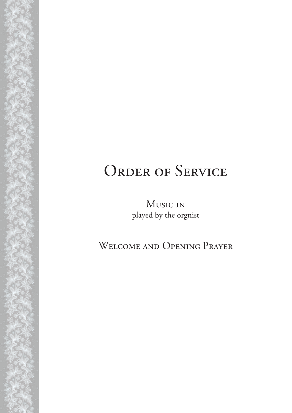# ORDER OF SERVICE

Music in played by the orgnist

Welcome and Opening Prayer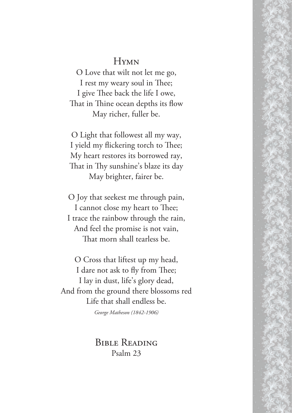#### **HYMN**

O Love that wilt not let me go, I rest my weary soul in Thee; I give Thee back the life I owe, That in Thine ocean depths its flow May richer, fuller be.

O Light that followest all my way, I yield my flickering torch to Thee; My heart restores its borrowed ray, That in Thy sunshine's blaze its day May brighter, fairer be.

O Joy that seekest me through pain, I cannot close my heart to Thee; I trace the rainbow through the rain, And feel the promise is not vain, That morn shall tearless be.

O Cross that liftest up my head, I dare not ask to fly from Thee; I lay in dust, life's glory dead, And from the ground there blossoms red Life that shall endless be.

*George Matheson (1842-1906)*

Bible Reading Psalm 23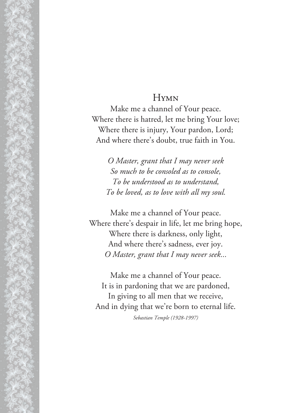#### **HYMN**

Make me a channel of Your peace. Where there is hatred, let me bring Your love; Where there is injury, Your pardon, Lord; And where there's doubt, true faith in You.

*O Master, grant that I may never seek So much to be consoled as to console, To be understood as to understand, To be loved, as to love with all my soul.*

Make me a channel of Your peace. Where there's despair in life, let me bring hope, Where there is darkness, only light, And where there's sadness, ever joy. *O Master, grant that I may never seek...*

Make me a channel of Your peace. It is in pardoning that we are pardoned, In giving to all men that we receive, And in dying that we're born to eternal life. *Sebastian Temple (1928-1997)*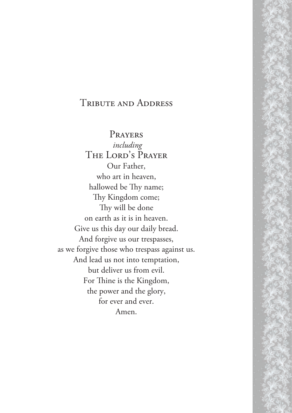#### Tribute and Address

Prayers *including* The Lord's Prayer Our Father, who art in heaven, hallowed be Thy name; Thy Kingdom come; Thy will be done on earth as it is in heaven. Give us this day our daily bread. And forgive us our trespasses, as we forgive those who trespass against us. And lead us not into temptation, but deliver us from evil. For Thine is the Kingdom, the power and the glory, for ever and ever. Amen.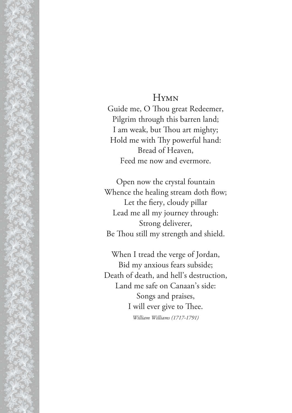#### **HYMN**

Guide me, O Thou great Redeemer, Pilgrim through this barren land; I am weak, but Thou art mighty; Hold me with Thy powerful hand: Bread of Heaven, Feed me now and evermore.

Open now the crystal fountain Whence the healing stream doth flow; Let the fiery, cloudy pillar Lead me all my journey through: Strong deliverer, Be Thou still my strength and shield.

When I tread the verge of Jordan, Bid my anxious fears subside; Death of death, and hell's destruction, Land me safe on Canaan's side: Songs and praises, I will ever give to Thee. *William Williams (1717-1791)*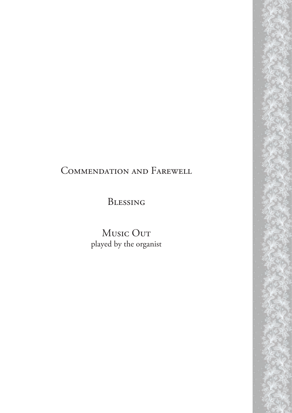### Commendation and Farewell

Blessing

Music Out played by the organist